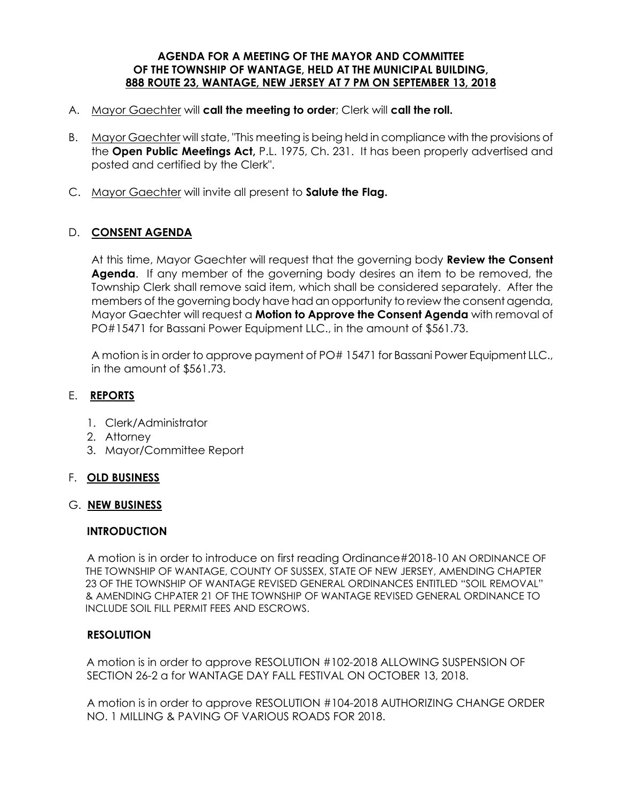#### **AGENDA FOR A MEETING OF THE MAYOR AND COMMITTEE OF THE TOWNSHIP OF WANTAGE, HELD AT THE MUNICIPAL BUILDING, 888 ROUTE 23, WANTAGE, NEW JERSEY AT 7 PM ON SEPTEMBER 13, 2018**

- A. Mayor Gaechter will **call the meeting to order**; Clerk will **call the roll.**
- B. Mayor Gaechter will state, "This meeting is being held in compliance with the provisions of the **Open Public Meetings Act,** P.L. 1975, Ch. 231. It has been properly advertised and posted and certified by the Clerk".
- C. Mayor Gaechter will invite all present to **Salute the Flag.**

# D. **CONSENT AGENDA**

At this time, Mayor Gaechter will request that the governing body **Review the Consent Agenda**. If any member of the governing body desires an item to be removed, the Township Clerk shall remove said item, which shall be considered separately. After the members of the governing body have had an opportunity to review the consent agenda, Mayor Gaechter will request a **Motion to Approve the Consent Agenda** with removal of PO#15471 for Bassani Power Equipment LLC., in the amount of \$561.73.

A motion is in order to approve payment of PO# 15471 for Bassani Power Equipment LLC., in the amount of \$561.73.

## E. **REPORTS**

- 1. Clerk/Administrator
- 2. Attorney
- 3. Mayor/Committee Report

### F. **OLD BUSINESS**

### G. **NEW BUSINESS**

### **INTRODUCTION**

A motion is in order to introduce on first reading Ordinance#2018-10 AN ORDINANCE OF THE TOWNSHIP OF WANTAGE, COUNTY OF SUSSEX, STATE OF NEW JERSEY, AMENDING CHAPTER 23 OF THE TOWNSHIP OF WANTAGE REVISED GENERAL ORDINANCES ENTITLED "SOIL REMOVAL" & AMENDING CHPATER 21 OF THE TOWNSHIP OF WANTAGE REVISED GENERAL ORDINANCE TO INCLUDE SOIL FILL PERMIT FEES AND ESCROWS.

### **RESOLUTION**

 A motion is in order to approve RESOLUTION #102-2018 ALLOWING SUSPENSION OF SECTION 26-2 a for WANTAGE DAY FALL FESTIVAL ON OCTOBER 13, 2018.

 A motion is in order to approve RESOLUTION #104-2018 AUTHORIZING CHANGE ORDER NO. 1 MILLING & PAVING OF VARIOUS ROADS FOR 2018.